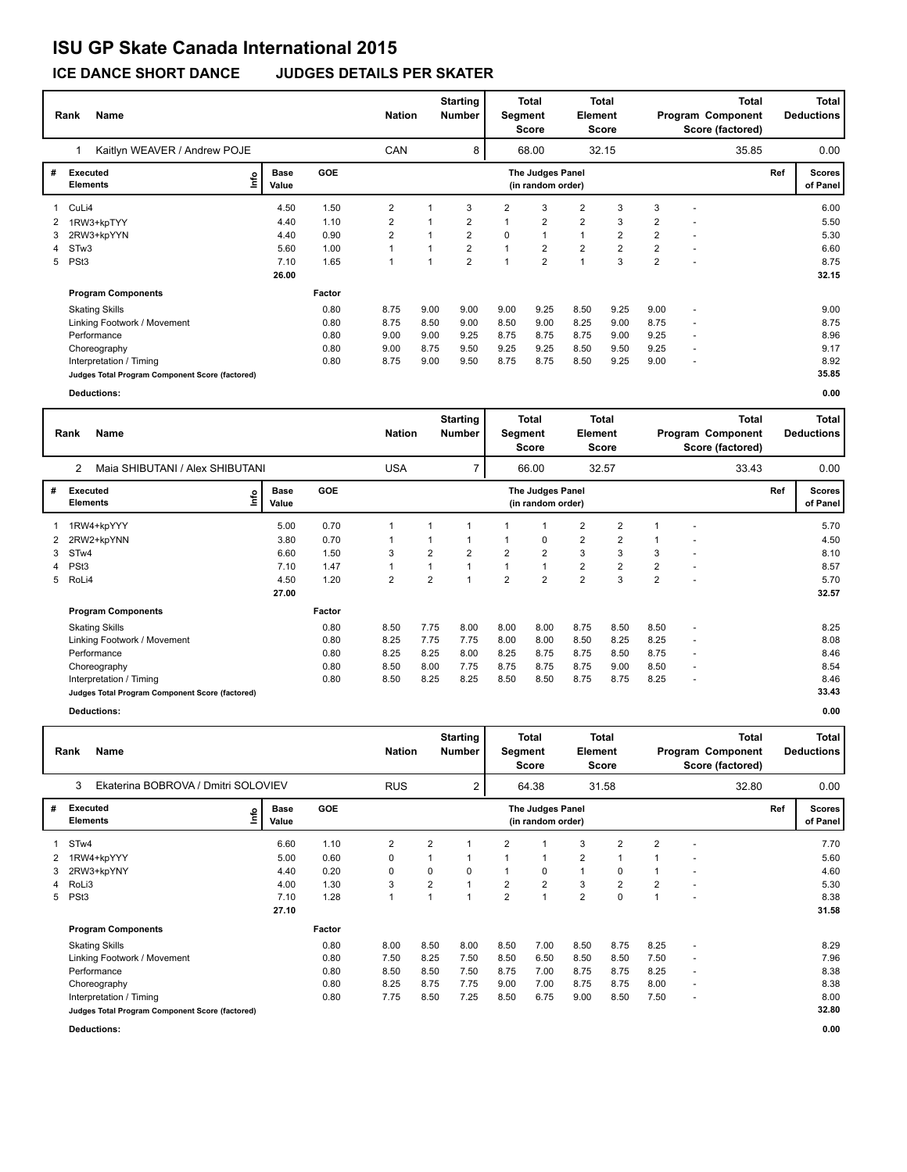## **ISU GP Skate Canada International 2015**

**ICE DANCE SHORT DANCE JUDGES DETAILS PER SKATER**

|                | <b>Name</b><br>Rank                             |    |                      | <b>Nation</b> |                         | <b>Starting</b><br><b>Number</b> | Segment        | <b>Total</b><br>Score | <b>Total</b><br>Element<br>Score<br>32.15 |                | <b>Total</b><br>Program Component<br>Score (factored) |                |                          | <b>Total</b><br><b>Deductions</b> |     |                           |
|----------------|-------------------------------------------------|----|----------------------|---------------|-------------------------|----------------------------------|----------------|-----------------------|-------------------------------------------|----------------|-------------------------------------------------------|----------------|--------------------------|-----------------------------------|-----|---------------------------|
|                | Kaitlyn WEAVER / Andrew POJE                    |    |                      |               | CAN                     |                                  | 8              |                       | 68.00                                     |                |                                                       |                |                          | 35.85                             |     | 0.00                      |
| #              | <b>Executed</b><br><b>Elements</b>              | ١m | <b>Base</b><br>Value | <b>GOE</b>    |                         |                                  |                |                       | The Judges Panel<br>(in random order)     |                |                                                       |                |                          |                                   | Ref | <b>Scores</b><br>of Panel |
|                | 1 CuLi4                                         |    | 4.50                 | 1.50          | 2                       |                                  | 3              | 2                     | 3                                         | 2              | 3                                                     | 3              | $\overline{\phantom{a}}$ |                                   |     | 6.00                      |
|                | 1RW3+kpTYY                                      |    | 4.40                 | 1.10          | 2                       |                                  | 2              |                       | $\overline{2}$                            | $\overline{2}$ | 3                                                     | 2              | ٠                        |                                   |     | 5.50                      |
| 3              | 2RW3+kpYYN                                      |    | 4.40                 | 0.90          | $\overline{\mathbf{c}}$ |                                  | $\overline{2}$ | 0                     | $\mathbf{1}$                              | $\mathbf{1}$   | $\overline{2}$                                        | $\overline{2}$ | ٠                        |                                   |     | 5.30                      |
| $\overline{4}$ | STw3                                            |    | 5.60                 | 1.00          |                         |                                  | $\overline{2}$ |                       | $\overline{2}$                            | $\overline{2}$ | $\overline{2}$                                        | $\overline{2}$ | ٠                        |                                   |     | 6.60                      |
| 5              | PSt <sub>3</sub>                                |    | 7.10                 | 1.65          |                         |                                  | $\overline{2}$ |                       | $\overline{2}$                            |                | 3                                                     | $\overline{2}$ | ٠                        |                                   |     | 8.75                      |
|                |                                                 |    | 26.00                |               |                         |                                  |                |                       |                                           |                |                                                       |                |                          |                                   |     | 32.15                     |
|                | <b>Program Components</b>                       |    |                      | Factor        |                         |                                  |                |                       |                                           |                |                                                       |                |                          |                                   |     |                           |
|                | <b>Skating Skills</b>                           |    |                      | 0.80          | 8.75                    | 9.00                             | 9.00           | 9.00                  | 9.25                                      | 8.50           | 9.25                                                  | 9.00           | $\blacksquare$           |                                   |     | 9.00                      |
|                | Linking Footwork / Movement                     |    |                      | 0.80          | 8.75                    | 8.50                             | 9.00           | 8.50                  | 9.00                                      | 8.25           | 9.00                                                  | 8.75           | $\overline{\phantom{a}}$ |                                   |     | 8.75                      |
|                | Performance                                     |    |                      | 0.80          | 9.00                    | 9.00                             | 9.25           | 8.75                  | 8.75                                      | 8.75           | 9.00                                                  | 9.25           | ٠                        |                                   |     | 8.96                      |
|                | Choreography                                    |    |                      | 0.80          | 9.00                    | 8.75                             | 9.50           | 9.25                  | 9.25                                      | 8.50           | 9.50                                                  | 9.25           | $\overline{\phantom{a}}$ |                                   |     | 9.17                      |
|                | Interpretation / Timing                         |    |                      | 0.80          | 8.75                    | 9.00                             | 9.50           | 8.75                  | 8.75                                      | 8.50           | 9.25                                                  | 9.00           | $\overline{\phantom{a}}$ |                                   |     | 8.92                      |
|                | Judges Total Program Component Score (factored) |    |                      |               |                         |                                  |                |                       |                                           |                |                                                       |                |                          |                                   |     | 35.85                     |
|                | <b>Deductions:</b>                              |    |                      |               |                         |                                  |                |                       |                                           |                |                                                       |                |                          |                                   |     | 0.00                      |

|   | Name<br>Rank                                      |                      |            |            | <b>Starting</b><br><b>Nation</b><br><b>Number</b> |                | Segment        | Total<br><b>Score</b>                 | <b>Total</b><br>Element<br><b>Score</b> |                | <b>Total</b><br>Program Component<br>Score (factored) |  |       | Total<br><b>Deductions</b> |                           |
|---|---------------------------------------------------|----------------------|------------|------------|---------------------------------------------------|----------------|----------------|---------------------------------------|-----------------------------------------|----------------|-------------------------------------------------------|--|-------|----------------------------|---------------------------|
|   | $\overline{2}$<br>Maia SHIBUTANI / Alex SHIBUTANI |                      |            | <b>USA</b> |                                                   | $\overline{7}$ |                | 66.00                                 |                                         | 32.57          |                                                       |  | 33.43 |                            | 0.00                      |
| # | Executed<br>lnfo<br><b>Elements</b>               | <b>Base</b><br>Value | <b>GOE</b> |            |                                                   |                |                | The Judges Panel<br>(in random order) |                                         |                |                                                       |  |       | Ref                        | <b>Scores</b><br>of Panel |
|   | 1RW4+kpYYY                                        | 5.00                 | 0.70       |            |                                                   |                |                |                                       | $\overline{2}$                          | $\overline{2}$ |                                                       |  |       |                            | 5.70                      |
|   | 2 2RW2+kpYNN                                      | 3.80                 | 0.70       |            |                                                   | 1              |                | 0                                     | $\overline{2}$                          | $\overline{2}$ |                                                       |  |       |                            | 4.50                      |
| 3 | STw4                                              | 6.60                 | 1.50       | 3          | $\overline{2}$                                    | $\overline{2}$ | 2              | $\overline{2}$                        | 3                                       | 3              | 3                                                     |  |       |                            | 8.10                      |
|   | 4 PSt3                                            | 7.10                 | 1.47       | 1          | 1                                                 | $\overline{1}$ |                | 1                                     | $\overline{2}$                          | $\overline{2}$ | $\overline{2}$                                        |  |       |                            | 8.57                      |
|   | 5 RoLi4                                           | 4.50                 | 1.20       | 2          | $\overline{2}$                                    | $\overline{ }$ | $\overline{2}$ | $\overline{2}$                        | $\overline{2}$                          | 3              | $\overline{2}$                                        |  |       |                            | 5.70                      |
|   |                                                   | 27.00                |            |            |                                                   |                |                |                                       |                                         |                |                                                       |  |       |                            | 32.57                     |
|   | <b>Program Components</b>                         |                      | Factor     |            |                                                   |                |                |                                       |                                         |                |                                                       |  |       |                            |                           |
|   | <b>Skating Skills</b>                             |                      | 0.80       | 8.50       | 7.75                                              | 8.00           | 8.00           | 8.00                                  | 8.75                                    | 8.50           | 8.50                                                  |  |       |                            | 8.25                      |
|   | Linking Footwork / Movement                       |                      | 0.80       | 8.25       | 7.75                                              | 7.75           | 8.00           | 8.00                                  | 8.50                                    | 8.25           | 8.25                                                  |  |       |                            | 8.08                      |
|   | Performance                                       |                      | 0.80       | 8.25       | 8.25                                              | 8.00           | 8.25           | 8.75                                  | 8.75                                    | 8.50           | 8.75                                                  |  |       |                            | 8.46                      |
|   | Choreography                                      |                      | 0.80       | 8.50       | 8.00                                              | 7.75           | 8.75           | 8.75                                  | 8.75                                    | 9.00           | 8.50                                                  |  |       |                            | 8.54                      |
|   | Interpretation / Timing                           |                      | 0.80       | 8.50       | 8.25                                              | 8.25           | 8.50           | 8.50                                  | 8.75                                    | 8.75           | 8.25                                                  |  |       |                            | 8.46                      |
|   | Judges Total Program Component Score (factored)   |                      |            |            |                                                   |                |                |                                       |                                         |                |                                                       |  |       |                            | 33.43                     |

**Deductions: 0.00**

|   | Name<br>Rank                                    | <b>Nation</b>        |            | <b>Starting</b><br><b>Number</b> | Segment        | Total<br><b>Score</b>   | Element        | <b>Total</b><br><b>Score</b>          | <b>Total</b><br>Program Component<br>Score (factored) |                |                | <b>Total</b><br><b>Deductions</b> |       |     |                           |
|---|-------------------------------------------------|----------------------|------------|----------------------------------|----------------|-------------------------|----------------|---------------------------------------|-------------------------------------------------------|----------------|----------------|-----------------------------------|-------|-----|---------------------------|
|   | 3<br>Ekaterina BOBROVA / Dmitri SOLOVIEV        |                      |            | <b>RUS</b>                       |                | $\overline{\mathbf{c}}$ |                | 64.38                                 |                                                       | 31.58          |                |                                   | 32.80 |     | 0.00                      |
| # | <b>Executed</b><br>e<br><b>Elements</b>         | <b>Base</b><br>Value | <b>GOE</b> |                                  |                |                         |                | The Judges Panel<br>(in random order) |                                                       |                |                |                                   |       | Ref | <b>Scores</b><br>of Panel |
|   | STw4                                            | 6.60                 | 1.10       | $\overline{2}$                   | $\overline{2}$ |                         | 2              | 1                                     | 3                                                     | 2              | 2              |                                   |       |     | 7.70                      |
| 2 | 1RW4+kpYYY                                      | 5.00                 | 0.60       | 0                                |                |                         |                | $\mathbf{1}$                          | $\overline{2}$                                        |                |                |                                   |       |     | 5.60                      |
| 3 | 2RW3+kpYNY                                      | 4.40                 | 0.20       | 0                                | 0              | 0                       |                | 0                                     | $\mathbf{1}$                                          | $\mathbf 0$    |                |                                   |       |     | 4.60                      |
| 4 | RoLi3                                           | 4.00                 | 1.30       | 3                                | 2              |                         | $\overline{2}$ | $\overline{2}$                        | 3                                                     | $\overline{2}$ | $\overline{2}$ |                                   |       |     | 5.30                      |
| 5 | PSt <sub>3</sub>                                | 7.10                 | 1.28       | 1                                |                |                         | $\overline{2}$ | $\overline{1}$                        | $\overline{2}$                                        | 0              |                |                                   |       |     | 8.38                      |
|   |                                                 | 27.10                |            |                                  |                |                         |                |                                       |                                                       |                |                |                                   |       |     | 31.58                     |
|   | <b>Program Components</b>                       |                      | Factor     |                                  |                |                         |                |                                       |                                                       |                |                |                                   |       |     |                           |
|   | <b>Skating Skills</b>                           |                      | 0.80       | 8.00                             | 8.50           | 8.00                    | 8.50           | 7.00                                  | 8.50                                                  | 8.75           | 8.25           | $\sim$                            |       |     | 8.29                      |
|   | Linking Footwork / Movement                     |                      | 0.80       | 7.50                             | 8.25           | 7.50                    | 8.50           | 6.50                                  | 8.50                                                  | 8.50           | 7.50           | $\overline{\phantom{a}}$          |       |     | 7.96                      |
|   | Performance                                     |                      | 0.80       | 8.50                             | 8.50           | 7.50                    | 8.75           | 7.00                                  | 8.75                                                  | 8.75           | 8.25           |                                   |       |     | 8.38                      |
|   | Choreography                                    |                      | 0.80       | 8.25                             | 8.75           | 7.75                    | 9.00           | 7.00                                  | 8.75                                                  | 8.75           | 8.00           | $\overline{\phantom{a}}$          |       |     | 8.38                      |
|   | Interpretation / Timing                         |                      | 0.80       | 7.75                             | 8.50           | 7.25                    | 8.50           | 6.75                                  | 9.00                                                  | 8.50           | 7.50           | $\overline{\phantom{a}}$          |       |     | 8.00                      |
|   | Judges Total Program Component Score (factored) |                      |            |                                  |                |                         |                |                                       |                                                       |                |                |                                   |       |     | 32.80                     |
|   | <b>Deductions:</b>                              |                      |            |                                  |                |                         |                |                                       |                                                       |                |                |                                   |       |     | 0.00                      |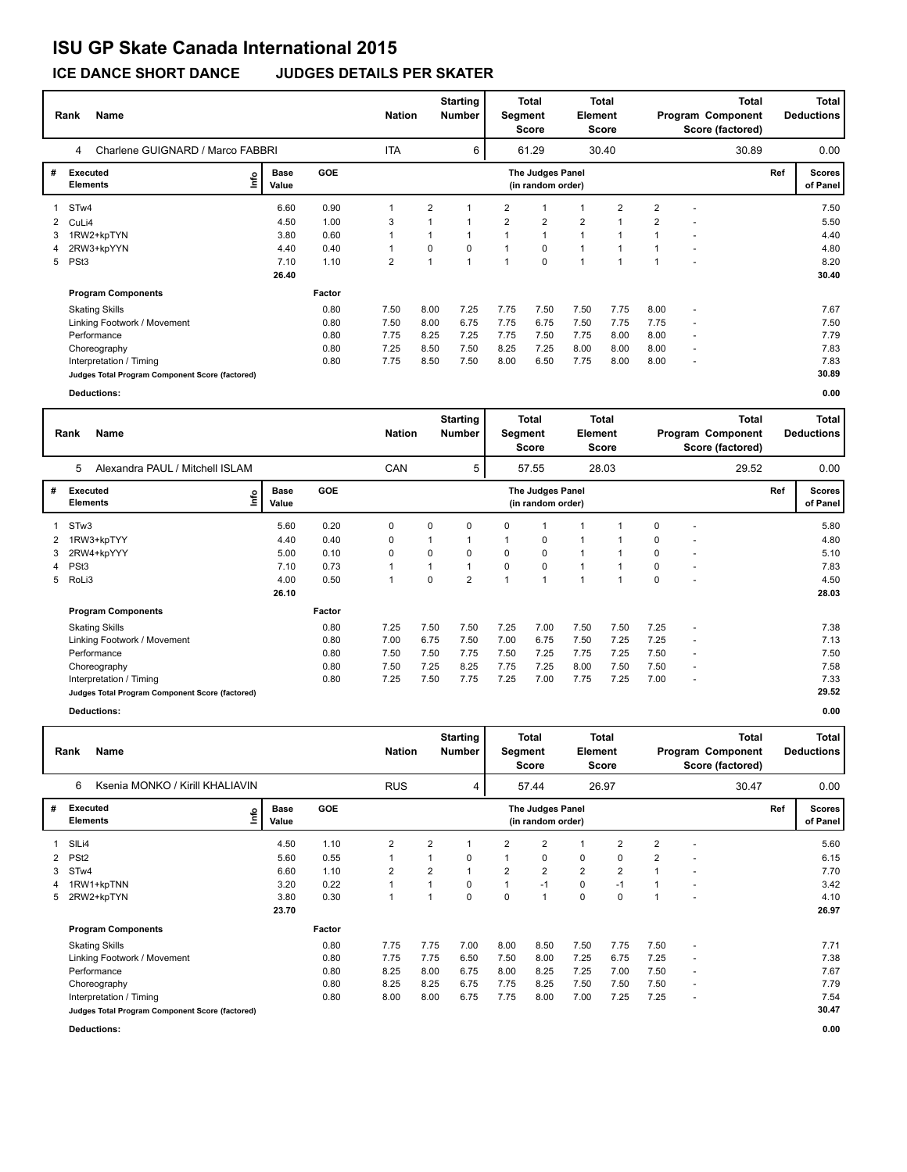# **ISU GP Skate Canada International 2015**

**ICE DANCE SHORT DANCE JUDGES DETAILS PER SKATER**

|   | <b>Name</b><br>Rank                             |    |                      |            |            | <b>Nation</b>  | <b>Starting</b><br><b>Number</b> |                | <b>Total</b><br><b>Total</b><br>Element<br>Segment<br>Score<br>Score |                |       |                | Program Component<br>Score (factored) | Total<br><b>Deductions</b> |     |                           |
|---|-------------------------------------------------|----|----------------------|------------|------------|----------------|----------------------------------|----------------|----------------------------------------------------------------------|----------------|-------|----------------|---------------------------------------|----------------------------|-----|---------------------------|
|   | Charlene GUIGNARD / Marco FABBRI<br>4           |    |                      |            | <b>ITA</b> |                | 6                                |                | 61.29                                                                |                | 30.40 |                |                                       | 30.89                      |     | 0.00                      |
| # | Executed<br><b>Elements</b>                     | ١m | <b>Base</b><br>Value | <b>GOE</b> |            |                |                                  |                | The Judges Panel<br>(in random order)                                |                |       |                |                                       |                            | Ref | <b>Scores</b><br>of Panel |
|   | STw4                                            |    | 6.60                 | 0.90       |            | $\overline{2}$ |                                  | 2              |                                                                      |                | 2     | $\overline{2}$ | $\overline{\phantom{a}}$              |                            |     | 7.50                      |
|   | 2 CuLi4                                         |    | 4.50                 | 1.00       | 3          |                |                                  | $\overline{2}$ | $\overline{2}$                                                       | $\overline{2}$ |       | $\overline{2}$ |                                       |                            |     | 5.50                      |
|   | 1RW2+kpTYN                                      |    | 3.80                 | 0.60       |            |                | $\mathbf{1}$                     |                | $\overline{1}$                                                       | $\overline{1}$ |       | 1              | ٠                                     |                            |     | 4.40                      |
| 4 | 2RW3+kpYYN                                      |    | 4.40                 | 0.40       |            | 0              | $\Omega$                         |                | 0                                                                    |                |       |                | ٠                                     |                            |     | 4.80                      |
|   | 5 PSt3                                          |    | 7.10                 | 1.10       | 2          |                | $\overline{ }$                   |                | $\mathbf 0$                                                          |                |       |                | ٠                                     |                            |     | 8.20                      |
|   |                                                 |    | 26.40                |            |            |                |                                  |                |                                                                      |                |       |                |                                       |                            |     | 30.40                     |
|   | <b>Program Components</b>                       |    |                      | Factor     |            |                |                                  |                |                                                                      |                |       |                |                                       |                            |     |                           |
|   | <b>Skating Skills</b>                           |    |                      | 0.80       | 7.50       | 8.00           | 7.25                             | 7.75           | 7.50                                                                 | 7.50           | 7.75  | 8.00           | $\ddot{\phantom{1}}$                  |                            |     | 7.67                      |
|   | Linking Footwork / Movement                     |    |                      | 0.80       | 7.50       | 8.00           | 6.75                             | 7.75           | 6.75                                                                 | 7.50           | 7.75  | 7.75           | $\overline{\phantom{a}}$              |                            |     | 7.50                      |
|   | Performance                                     |    |                      | 0.80       | 7.75       | 8.25           | 7.25                             | 7.75           | 7.50                                                                 | 7.75           | 8.00  | 8.00           | $\overline{\phantom{a}}$              |                            |     | 7.79                      |
|   | Choreography                                    |    |                      | 0.80       | 7.25       | 8.50           | 7.50                             | 8.25           | 7.25                                                                 | 8.00           | 8.00  | 8.00           | $\overline{\phantom{a}}$              |                            |     | 7.83                      |
|   | Interpretation / Timing                         |    |                      | 0.80       | 7.75       | 8.50           | 7.50                             | 8.00           | 6.50                                                                 | 7.75           | 8.00  | 8.00           | $\overline{\phantom{a}}$              |                            |     | 7.83                      |
|   | Judges Total Program Component Score (factored) |    |                      |            |            |                |                                  |                |                                                                      |                |       |                |                                       |                            |     | 30.89                     |
|   | <b>Deductions:</b>                              |    |                      |            |            |                |                                  |                |                                                                      |                |       |                |                                       |                            |     | 0.00                      |

|   | <b>Name</b><br>Rank                             |                      |            | <b>Nation</b> |          | <b>Starting</b><br><b>Number</b> | Segment | <b>Total</b><br><b>Score</b>          | Element | Total<br><b>Score</b> |          |                          | Total<br>Program Component<br>Score (factored) | Total<br><b>Deductions</b> |                           |
|---|-------------------------------------------------|----------------------|------------|---------------|----------|----------------------------------|---------|---------------------------------------|---------|-----------------------|----------|--------------------------|------------------------------------------------|----------------------------|---------------------------|
|   | 5<br>Alexandra PAUL / Mitchell ISLAM            |                      |            | CAN           |          | 5                                |         | 57.55                                 |         | 28.03                 |          |                          | 29.52                                          |                            | 0.00                      |
| # | Executed<br>lnfo<br><b>Elements</b>             | <b>Base</b><br>Value | <b>GOE</b> |               |          |                                  |         | The Judges Panel<br>(in random order) |         |                       |          |                          |                                                | Ref                        | <b>Scores</b><br>of Panel |
|   | 1 STw3                                          | 5.60                 | 0.20       | 0             | 0        | 0                                | 0       |                                       |         |                       | 0        |                          |                                                |                            | 5.80                      |
| 2 | 1RW3+kpTYY                                      | 4.40                 | 0.40       | 0             |          | 1                                |         | 0                                     | 1       |                       | 0        |                          |                                                |                            | 4.80                      |
| 3 | 2RW4+kpYYY                                      | 5.00                 | 0.10       | $\mathbf 0$   | 0        | 0                                | 0       | $\mathbf 0$                           |         |                       | 0        |                          |                                                |                            | 5.10                      |
|   | 4 PSt3                                          | 7.10                 | 0.73       |               |          | 1                                | 0       | 0                                     | 1       |                       | 0        |                          |                                                |                            | 7.83                      |
|   | 5 RoLi3                                         | 4.00                 | 0.50       |               | $\Omega$ | $\overline{2}$                   |         |                                       | 1       |                       | $\Omega$ |                          |                                                |                            | 4.50                      |
|   |                                                 | 26.10                |            |               |          |                                  |         |                                       |         |                       |          |                          |                                                |                            | 28.03                     |
|   | <b>Program Components</b>                       |                      | Factor     |               |          |                                  |         |                                       |         |                       |          |                          |                                                |                            |                           |
|   | <b>Skating Skills</b>                           |                      | 0.80       | 7.25          | 7.50     | 7.50                             | 7.25    | 7.00                                  | 7.50    | 7.50                  | 7.25     |                          |                                                |                            | 7.38                      |
|   | Linking Footwork / Movement                     |                      | 0.80       | 7.00          | 6.75     | 7.50                             | 7.00    | 6.75                                  | 7.50    | 7.25                  | 7.25     | $\overline{\phantom{a}}$ |                                                |                            | 7.13                      |
|   | Performance                                     |                      | 0.80       | 7.50          | 7.50     | 7.75                             | 7.50    | 7.25                                  | 7.75    | 7.25                  | 7.50     |                          |                                                |                            | 7.50                      |
|   | Choreography                                    |                      | 0.80       | 7.50          | 7.25     | 8.25                             | 7.75    | 7.25                                  | 8.00    | 7.50                  | 7.50     |                          |                                                |                            | 7.58                      |
|   | Interpretation / Timing                         |                      | 0.80       | 7.25          | 7.50     | 7.75                             | 7.25    | 7.00                                  | 7.75    | 7.25                  | 7.00     |                          |                                                |                            | 7.33                      |
|   | Judges Total Program Component Score (factored) |                      |            |               |          |                                  |         |                                       |         |                       |          |                          |                                                |                            | 29.52                     |
|   |                                                 |                      |            |               |          |                                  |         |                                       |         |                       |          |                          |                                                |                            |                           |

**Deductions: 0.00**

|    | Name<br>Rank                                    | <b>Nation</b>        |            | <b>Starting</b><br><b>Number</b> | Total<br>Total<br>Element<br>Segment<br><b>Score</b><br><b>Score</b> |      |                |                                       |                | Program Component<br>Score (factored) | Total<br><b>Deductions</b> |                          |       |     |                           |
|----|-------------------------------------------------|----------------------|------------|----------------------------------|----------------------------------------------------------------------|------|----------------|---------------------------------------|----------------|---------------------------------------|----------------------------|--------------------------|-------|-----|---------------------------|
|    | Ksenia MONKO / Kirill KHALIAVIN<br>6            |                      |            | <b>RUS</b>                       |                                                                      | 4    |                | 57.44                                 |                | 26.97                                 |                            |                          | 30.47 |     | 0.00                      |
| #  | <b>Executed</b><br>e<br><b>Elements</b>         | <b>Base</b><br>Value | <b>GOE</b> |                                  |                                                                      |      |                | The Judges Panel<br>(in random order) |                |                                       |                            |                          |       | Ref | <b>Scores</b><br>of Panel |
|    | SILi4                                           | 4.50                 | 1.10       | $\overline{2}$                   | $\overline{2}$                                                       |      | $\overline{2}$ | $\overline{2}$                        |                | $\overline{2}$                        | $\overline{2}$             |                          |       |     | 5.60                      |
| 2  | PS <sub>t2</sub>                                | 5.60                 | 0.55       |                                  |                                                                      | 0    |                | 0                                     | 0              | 0                                     | $\overline{2}$             |                          |       |     | 6.15                      |
| 3  | STw4                                            | 6.60                 | 1.10       | $\overline{2}$                   | $\overline{2}$                                                       |      | $\overline{2}$ | $\overline{2}$                        | $\overline{2}$ | $\overline{2}$                        | 1                          |                          |       |     | 7.70                      |
| 4  | 1RW1+kpTNN                                      | 3.20                 | 0.22       | 1                                |                                                                      | 0    | 1              | $-1$                                  | 0              | $-1$                                  | 1                          |                          |       |     | 3.42                      |
| 5. | 2RW2+kpTYN                                      | 3.80                 | 0.30       |                                  |                                                                      | 0    | 0              | 1                                     | 0              | $\Omega$                              |                            |                          |       |     | 4.10                      |
|    |                                                 | 23.70                |            |                                  |                                                                      |      |                |                                       |                |                                       |                            |                          |       |     | 26.97                     |
|    | <b>Program Components</b>                       |                      | Factor     |                                  |                                                                      |      |                |                                       |                |                                       |                            |                          |       |     |                           |
|    | <b>Skating Skills</b>                           |                      | 0.80       | 7.75                             | 7.75                                                                 | 7.00 | 8.00           | 8.50                                  | 7.50           | 7.75                                  | 7.50                       | $\sim$                   |       |     | 7.71                      |
|    | Linking Footwork / Movement                     |                      | 0.80       | 7.75                             | 7.75                                                                 | 6.50 | 7.50           | 8.00                                  | 7.25           | 6.75                                  | 7.25                       | $\sim$                   |       |     | 7.38                      |
|    | Performance                                     |                      | 0.80       | 8.25                             | 8.00                                                                 | 6.75 | 8.00           | 8.25                                  | 7.25           | 7.00                                  | 7.50                       | $\overline{\phantom{a}}$ |       |     | 7.67                      |
|    | Choreography                                    |                      | 0.80       | 8.25                             | 8.25                                                                 | 6.75 | 7.75           | 8.25                                  | 7.50           | 7.50                                  | 7.50                       | $\overline{\phantom{a}}$ |       |     | 7.79                      |
|    | Interpretation / Timing                         |                      | 0.80       | 8.00                             | 8.00                                                                 | 6.75 | 7.75           | 8.00                                  | 7.00           | 7.25                                  | 7.25                       | $\overline{\phantom{a}}$ |       |     | 7.54                      |
|    | Judges Total Program Component Score (factored) |                      |            |                                  |                                                                      |      |                |                                       |                |                                       |                            |                          |       |     | 30.47                     |
|    | <b>Deductions:</b>                              |                      |            |                                  |                                                                      |      |                |                                       |                |                                       |                            |                          |       |     | 0.00                      |